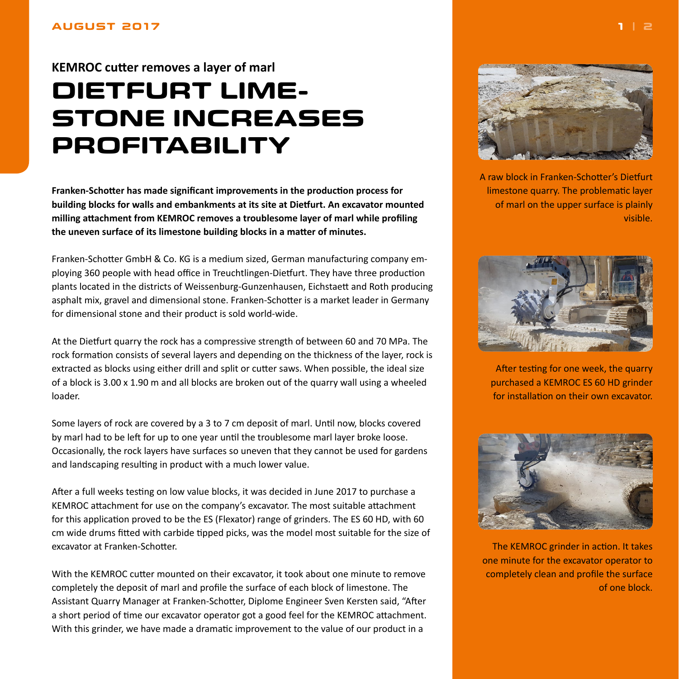## <span id="page-0-0"></span>**AUGUST 2017**

## **KEMROC cutter removes a layer of marl DIETFURT LIME-STONE INCREASES PROFITABILITY**

**Franken-Schotter has made significant improvements in the production process for building blocks for walls and embankments at its site at Dietfurt. An excavator mounted milling attachment from KEMROC removes a troublesome layer of marl while profiling the uneven surface of its limestone building blocks in a matter of minutes.**

Franken-Schotter GmbH & Co. KG is a medium sized, German manufacturing company employing 360 people with head office in Treuchtlingen-Dietfurt. They have three production plants located in the districts of Weissenburg-Gunzenhausen, Eichstaett and Roth producing asphalt mix, gravel and dimensional stone. Franken-Schotter is a market leader in Germany for dimensional stone and their product is sold world-wide.

At the Dietfurt quarry the rock has a compressive strength of between 60 and 70 MPa. The rock formation consists of several layers and depending on the thickness of the layer, rock is extracted as blocks using either drill and split or cutter saws. When possible, the ideal size of a block is 3.00 x 1.90 m and all blocks are broken out of the quarry wall using a wheeled loader.

Some layers of rock are covered by a 3 to 7 cm deposit of marl. Until now, blocks covered by marl had to be left for up to one year until the troublesome marl layer broke loose. Occasionally, the rock layers have surfaces so uneven that they cannot be used for gardens and landscaping resulting in product with a much lower value.

After a full weeks testing on low value blocks, it was decided in June 2017 to purchase a KEMROC attachment for use on the company's excavator. The most suitable attachment for this application proved to be the ES (Flexator) range of grinders. The ES 60 HD, with 60 cm wide drums fitted with carbide tipped picks, was the model most suitable for the size of excavator at Franken-Schotter.

With the KEMROC cutter mounted on their excavator, it took about one minute to remove completely the deposit of marl and profile the surface of each block of limestone. The Assistant Quarry Manager at Franken-Schotter, Diplome Engineer Sven Kersten said, "After a short period of time our excavator operator got a good feel for the KEMROC attachment. With this grinder, we have made a dramatic improvement to the value of our product in a



A raw block in Franken-Schotter's Dietfurt limestone quarry. The problematic layer of marl on the upper surface is plainly visible.



After testing for one week, the quarry purchased a KEMROC ES 60 HD grinder for installation on their own excavator.



The KEMROC grinder in action. It takes one minute for the excavator operator to completely clean and profile the surface of one block.

**1 | [2](#page-1-0)**